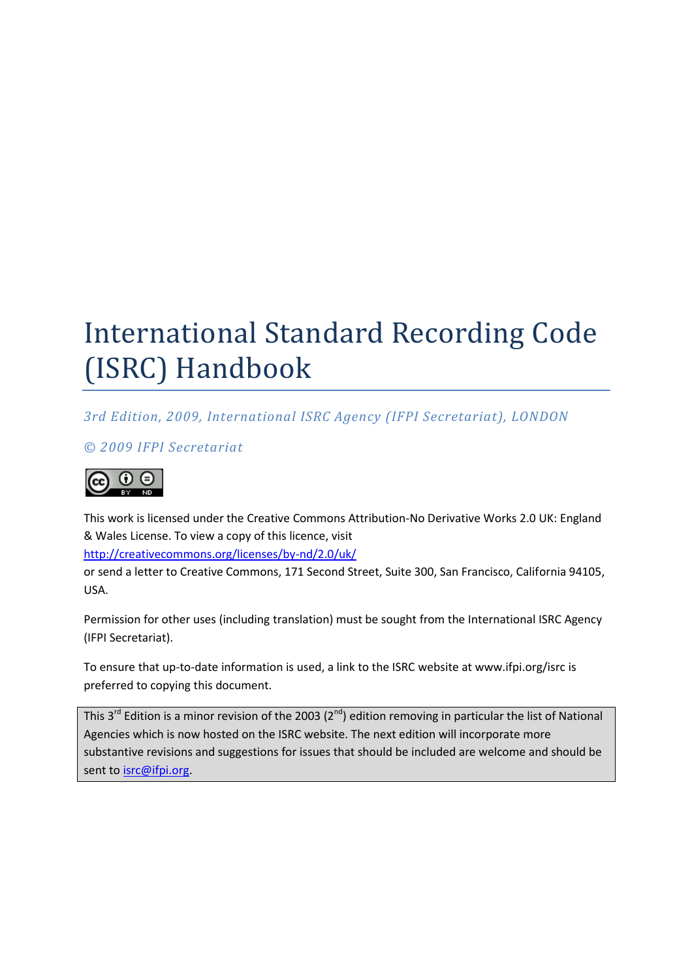# International Standard Recording Code (ISRC) Handbook

*3rd Edition, 2009, International ISRC Agency (IFPI Secretariat), LONDON*

*© 2009 IFPI Secretariat*



This work is licensed under the Creative Commons Attribution-No Derivative Works 2.0 UK: England & Wales License. To view a copy of this licence, visit

http://creativecommons.org/licenses/by-nd/2.0/uk/

or send a letter to Creative Commons, 171 Second Street, Suite 300, San Francisco, California 94105, USA.

Permission for other uses (including translation) must be sought from the International ISRC Agency (IFPI Secretariat).

To ensure that up-to-date information is used, a link to the ISRC website at www.ifpi.org/isrc is preferred to copying this document.

This  $3^{rd}$  Edition is a minor revision of the 2003 ( $2^{nd}$ ) edition removing in particular the list of National Agencies which is now hosted on the ISRC website. The next edition will incorporate more substantive revisions and suggestions for issues that should be included are welcome and should be sent to isrc@ifpi.org.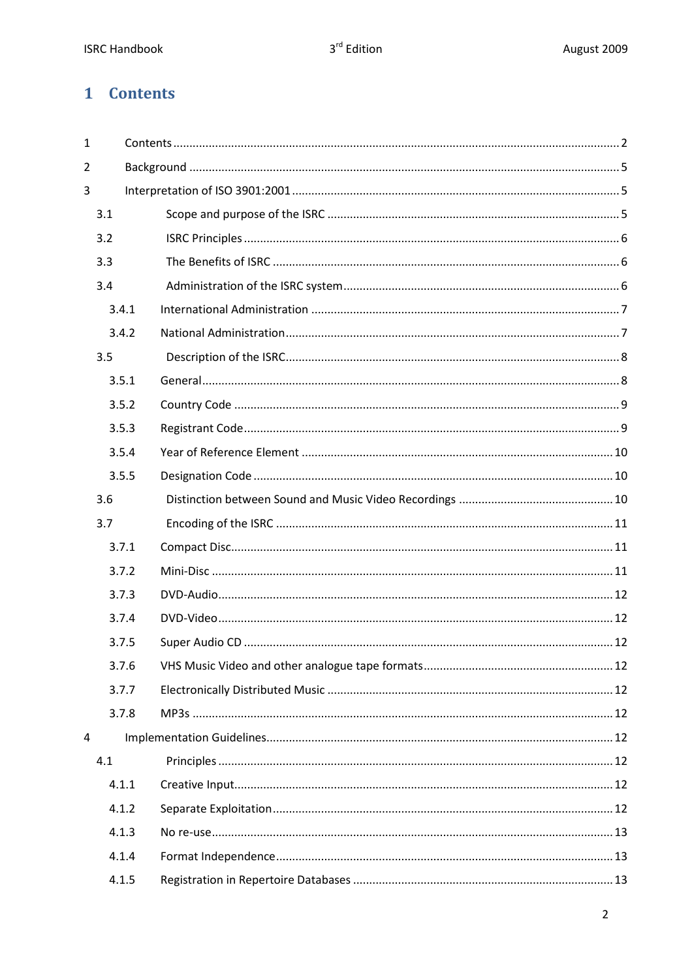# 1 Contents

| $\mathbf{1}$ |       |  |
|--------------|-------|--|
| 2            |       |  |
| 3            |       |  |
|              | 3.1   |  |
|              | 3.2   |  |
|              | 3.3   |  |
|              | 3.4   |  |
|              | 3.4.1 |  |
|              | 3.4.2 |  |
|              | 3.5   |  |
|              | 3.5.1 |  |
|              | 3.5.2 |  |
|              | 3.5.3 |  |
|              | 3.5.4 |  |
|              | 3.5.5 |  |
|              | 3.6   |  |
|              | 3.7   |  |
|              | 3.7.1 |  |
|              | 3.7.2 |  |
|              | 3.7.3 |  |
|              | 3.7.4 |  |
|              | 3.7.5 |  |
|              | 3.7.6 |  |
|              | 3.7.7 |  |
|              | 3.7.8 |  |
| 4            |       |  |
|              | 4.1   |  |
|              | 4.1.1 |  |
|              | 4.1.2 |  |
|              | 4.1.3 |  |
|              | 4.1.4 |  |
|              | 4.1.5 |  |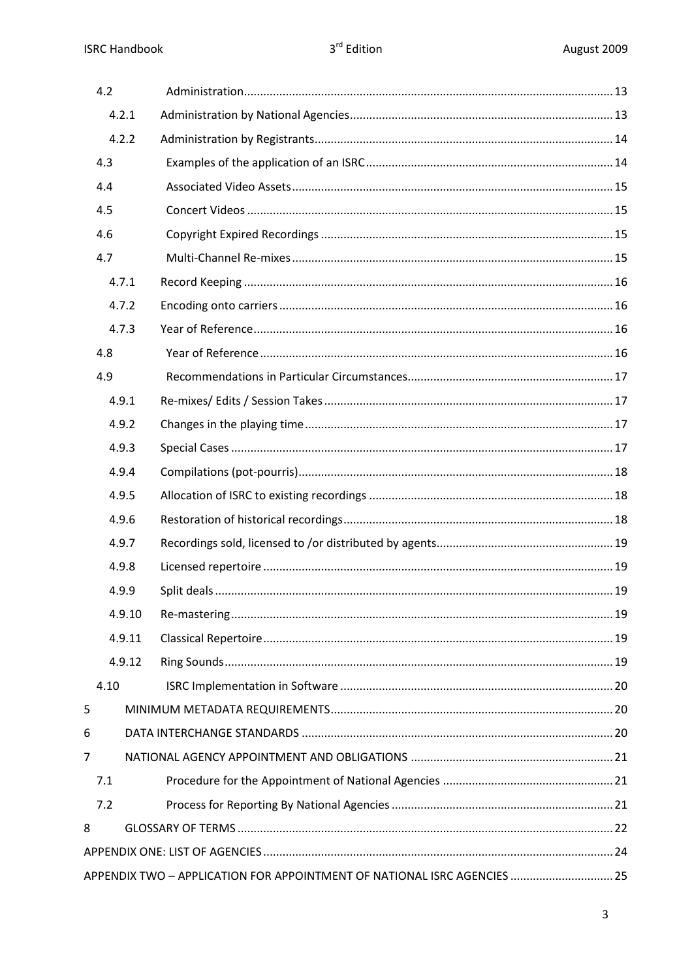|   | 4.2                                                                      |  |  |  |  |  |
|---|--------------------------------------------------------------------------|--|--|--|--|--|
|   | 4.2.1                                                                    |  |  |  |  |  |
|   | 4.2.2                                                                    |  |  |  |  |  |
|   | 4.3                                                                      |  |  |  |  |  |
|   | 4.4                                                                      |  |  |  |  |  |
|   | 4.5                                                                      |  |  |  |  |  |
|   | 4.6                                                                      |  |  |  |  |  |
|   | 4.7                                                                      |  |  |  |  |  |
|   | 4.7.1                                                                    |  |  |  |  |  |
|   | 4.7.2                                                                    |  |  |  |  |  |
|   | 4.7.3                                                                    |  |  |  |  |  |
|   | 4.8                                                                      |  |  |  |  |  |
|   | 4.9                                                                      |  |  |  |  |  |
|   | 4.9.1                                                                    |  |  |  |  |  |
|   | 4.9.2                                                                    |  |  |  |  |  |
|   | 4.9.3                                                                    |  |  |  |  |  |
|   | 4.9.4                                                                    |  |  |  |  |  |
|   | 4.9.5                                                                    |  |  |  |  |  |
|   | 4.9.6                                                                    |  |  |  |  |  |
|   | 4.9.7                                                                    |  |  |  |  |  |
|   | 4.9.8                                                                    |  |  |  |  |  |
|   | 4.9.9                                                                    |  |  |  |  |  |
|   | 4.9.10                                                                   |  |  |  |  |  |
|   | 4.9.11                                                                   |  |  |  |  |  |
|   | 4.9.12                                                                   |  |  |  |  |  |
|   | 4.10                                                                     |  |  |  |  |  |
| 5 |                                                                          |  |  |  |  |  |
| 6 |                                                                          |  |  |  |  |  |
| 7 |                                                                          |  |  |  |  |  |
|   | 7.1                                                                      |  |  |  |  |  |
|   | 7.2                                                                      |  |  |  |  |  |
| 8 |                                                                          |  |  |  |  |  |
|   |                                                                          |  |  |  |  |  |
|   | APPENDIX TWO - APPLICATION FOR APPOINTMENT OF NATIONAL ISRC AGENCIES  25 |  |  |  |  |  |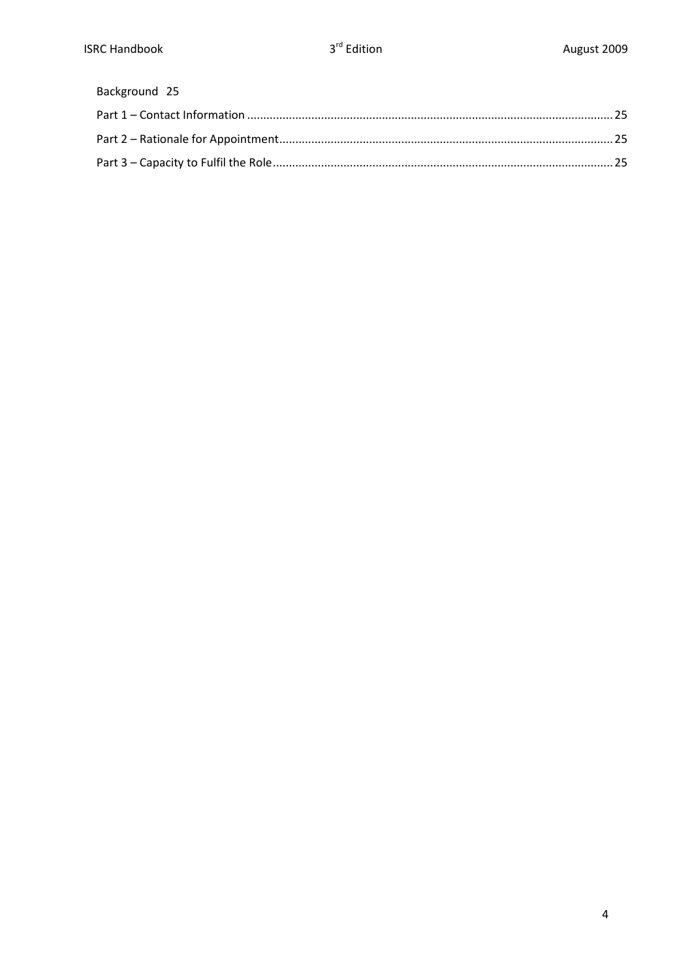# Background 25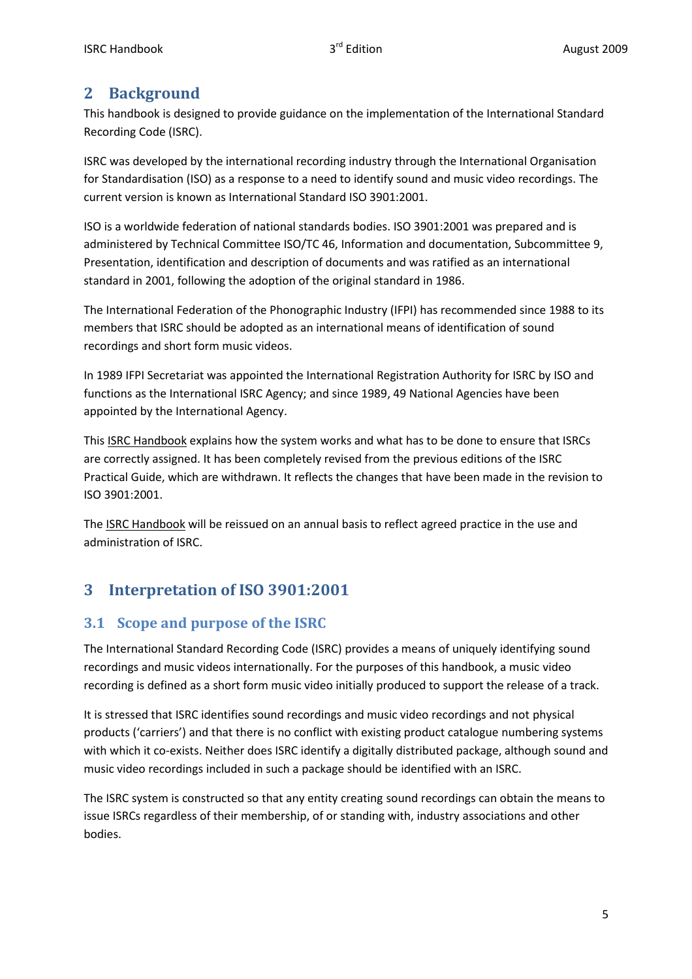# **2 Background**

This handbook is designed to provide guidance on the implementation of the International Standard Recording Code (ISRC).

ISRC was developed by the international recording industry through the International Organisation for Standardisation (ISO) as a response to a need to identify sound and music video recordings. The current version is known as International Standard ISO 3901:2001.

ISO is a worldwide federation of national standards bodies. ISO 3901:2001 was prepared and is administered by Technical Committee ISO/TC 46, Information and documentation, Subcommittee 9, Presentation, identification and description of documents and was ratified as an international standard in 2001, following the adoption of the original standard in 1986.

The International Federation of the Phonographic Industry (IFPI) has recommended since 1988 to its members that ISRC should be adopted as an international means of identification of sound recordings and short form music videos.

In 1989 IFPI Secretariat was appointed the International Registration Authority for ISRC by ISO and functions as the International ISRC Agency; and since 1989, 49 National Agencies have been appointed by the International Agency.

This **ISRC Handbook** explains how the system works and what has to be done to ensure that ISRCs are correctly assigned. It has been completely revised from the previous editions of the ISRC Practical Guide, which are withdrawn. It reflects the changes that have been made in the revision to ISO 3901:2001.

The ISRC Handbook will be reissued on an annual basis to reflect agreed practice in the use and administration of ISRC.

# **3 Interpretation of ISO 3901:2001**

# **3.1 Scope and purpose of the ISRC**

The International Standard Recording Code (ISRC) provides a means of uniquely identifying sound recordings and music videos internationally. For the purposes of this handbook, a music video recording is defined as a short form music video initially produced to support the release of a track.

It is stressed that ISRC identifies sound recordings and music video recordings and not physical products ('carriers') and that there is no conflict with existing product catalogue numbering systems with which it co-exists. Neither does ISRC identify a digitally distributed package, although sound and music video recordings included in such a package should be identified with an ISRC.

The ISRC system is constructed so that any entity creating sound recordings can obtain the means to issue ISRCs regardless of their membership, of or standing with, industry associations and other bodies.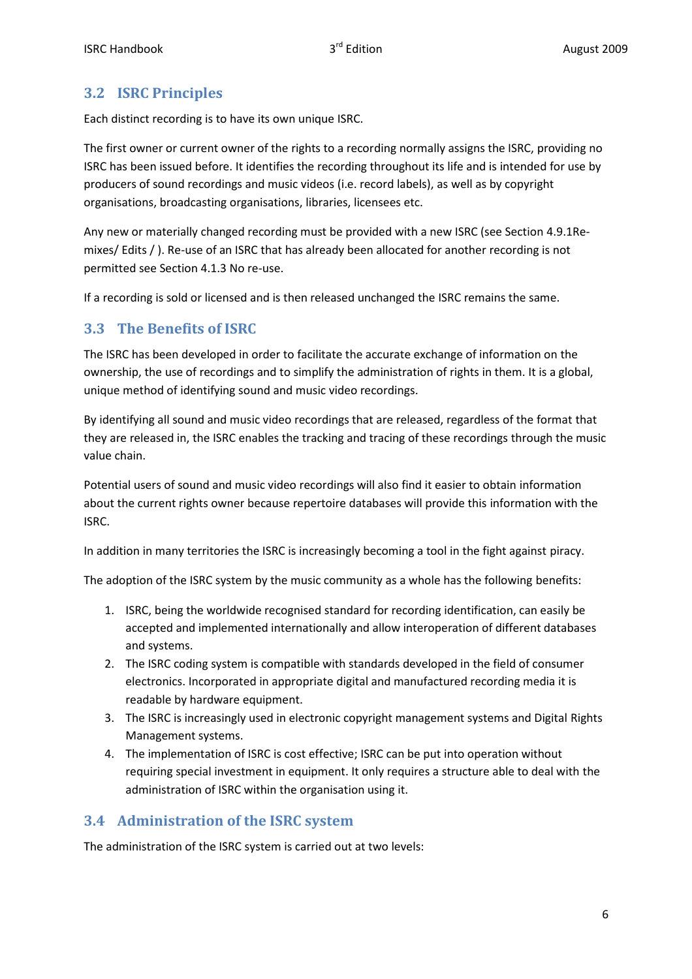# **3.2 ISRC Principles**

Each distinct recording is to have its own unique ISRC.

The first owner or current owner of the rights to a recording normally assigns the ISRC, providing no ISRC has been issued before. It identifies the recording throughout its life and is intended for use by producers of sound recordings and music videos (i.e. record labels), as well as by copyright organisations, broadcasting organisations, libraries, licensees etc.

Any new or materially changed recording must be provided with a new ISRC (see Section 4.9.1Remixes/ Edits / ). Re-use of an ISRC that has already been allocated for another recording is not permitted see Section 4.1.3 No re-use.

If a recording is sold or licensed and is then released unchanged the ISRC remains the same.

# **3.3 The Benefits of ISRC**

The ISRC has been developed in order to facilitate the accurate exchange of information on the ownership, the use of recordings and to simplify the administration of rights in them. It is a global, unique method of identifying sound and music video recordings.

By identifying all sound and music video recordings that are released, regardless of the format that they are released in, the ISRC enables the tracking and tracing of these recordings through the music value chain.

Potential users of sound and music video recordings will also find it easier to obtain information about the current rights owner because repertoire databases will provide this information with the ISRC.

In addition in many territories the ISRC is increasingly becoming a tool in the fight against piracy.

The adoption of the ISRC system by the music community as a whole has the following benefits:

- 1. ISRC, being the worldwide recognised standard for recording identification, can easily be accepted and implemented internationally and allow interoperation of different databases and systems.
- 2. The ISRC coding system is compatible with standards developed in the field of consumer electronics. Incorporated in appropriate digital and manufactured recording media it is readable by hardware equipment.
- 3. The ISRC is increasingly used in electronic copyright management systems and Digital Rights Management systems.
- 4. The implementation of ISRC is cost effective; ISRC can be put into operation without requiring special investment in equipment. It only requires a structure able to deal with the administration of ISRC within the organisation using it.

# **3.4 Administration of the ISRC system**

The administration of the ISRC system is carried out at two levels: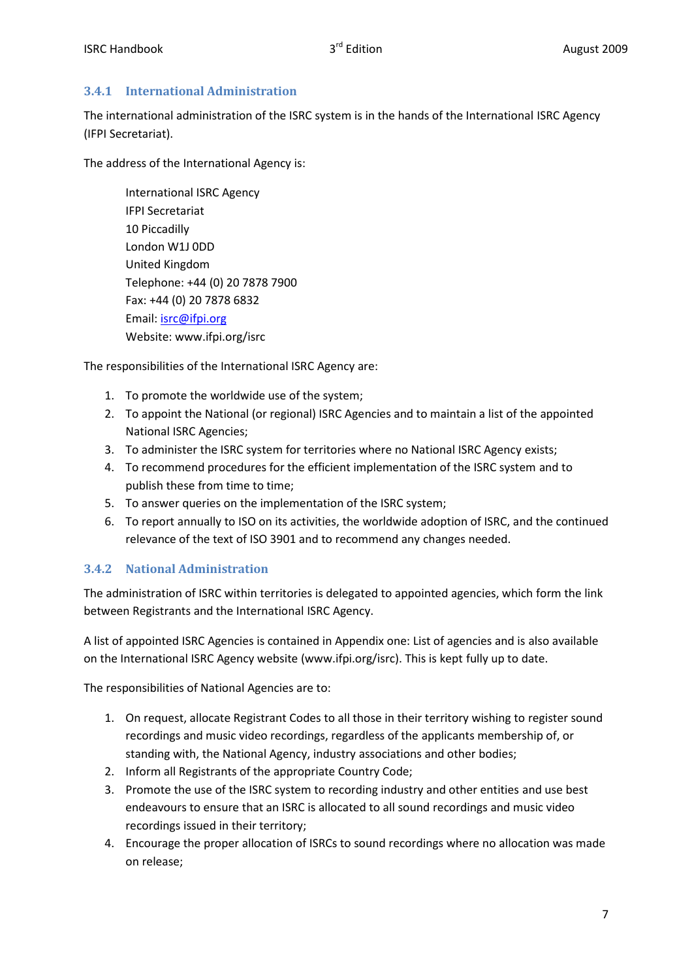#### **3.4.1 International Administration**

The international administration of the ISRC system is in the hands of the International ISRC Agency (IFPI Secretariat).

The address of the International Agency is:

International ISRC Agency IFPI Secretariat 10 Piccadilly London W1J 0DD United Kingdom Telephone: +44 (0) 20 7878 7900 Fax: +44 (0) 20 7878 6832 Email: isrc@ifpi.org Website: www.ifpi.org/isrc

The responsibilities of the International ISRC Agency are:

- 1. To promote the worldwide use of the system;
- 2. To appoint the National (or regional) ISRC Agencies and to maintain a list of the appointed National ISRC Agencies;
- 3. To administer the ISRC system for territories where no National ISRC Agency exists;
- 4. To recommend procedures for the efficient implementation of the ISRC system and to publish these from time to time;
- 5. To answer queries on the implementation of the ISRC system;
- 6. To report annually to ISO on its activities, the worldwide adoption of ISRC, and the continued relevance of the text of ISO 3901 and to recommend any changes needed.

#### **3.4.2 National Administration**

The administration of ISRC within territories is delegated to appointed agencies, which form the link between Registrants and the International ISRC Agency.

A list of appointed ISRC Agencies is contained in Appendix one: List of agencies and is also available on the International ISRC Agency website (www.ifpi.org/isrc). This is kept fully up to date.

The responsibilities of National Agencies are to:

- 1. On request, allocate Registrant Codes to all those in their territory wishing to register sound recordings and music video recordings, regardless of the applicants membership of, or standing with, the National Agency, industry associations and other bodies;
- 2. Inform all Registrants of the appropriate Country Code;
- 3. Promote the use of the ISRC system to recording industry and other entities and use best endeavours to ensure that an ISRC is allocated to all sound recordings and music video recordings issued in their territory;
- 4. Encourage the proper allocation of ISRCs to sound recordings where no allocation was made on release;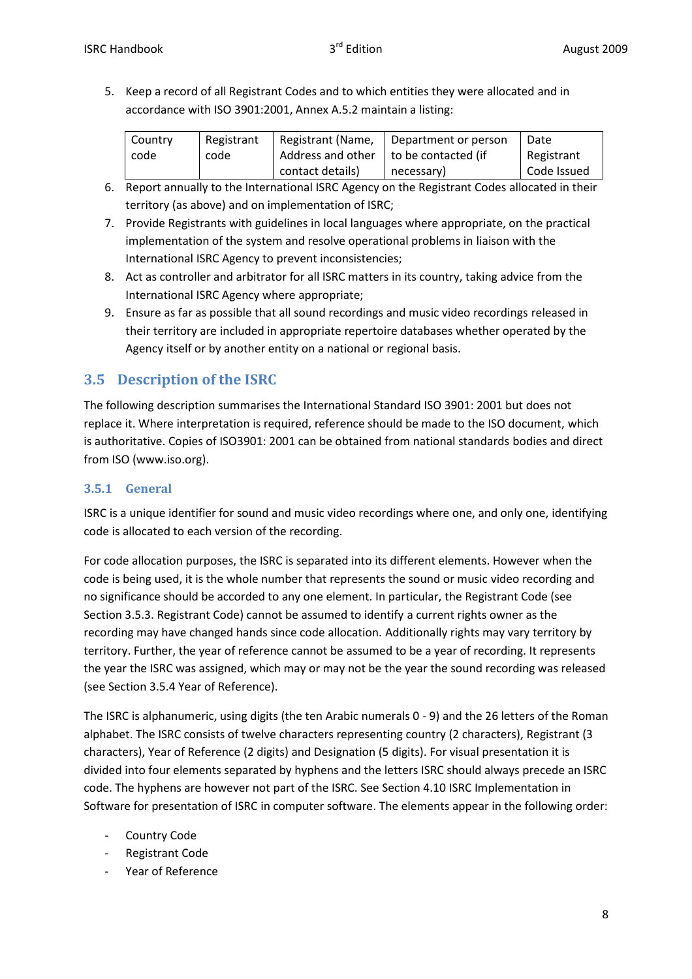5. Keep a record of all Registrant Codes and to which entities they were allocated and in accordance with ISO 3901:2001, Annex A.5.2 maintain a listing:

| <b>Country</b><br>code | Registrant<br>code | I Registrant (Name,<br>Address and other $\vert$ to be contacted (if | Department or person | Date<br>Registrant |
|------------------------|--------------------|----------------------------------------------------------------------|----------------------|--------------------|
|                        |                    | contact details)                                                     | necessary)           | Code Issued        |

- 6. Report annually to the International ISRC Agency on the Registrant Codes allocated in their territory (as above) and on implementation of ISRC;
- 7. Provide Registrants with guidelines in local languages where appropriate, on the practical implementation of the system and resolve operational problems in liaison with the International ISRC Agency to prevent inconsistencies;
- 8. Act as controller and arbitrator for all ISRC matters in its country, taking advice from the International ISRC Agency where appropriate;
- 9. Ensure as far as possible that all sound recordings and music video recordings released in their territory are included in appropriate repertoire databases whether operated by the Agency itself or by another entity on a national or regional basis.

# **3.5 Description of the ISRC**

The following description summarises the International Standard ISO 3901: 2001 but does not replace it. Where interpretation is required, reference should be made to the ISO document, which is authoritative. Copies of ISO3901: 2001 can be obtained from national standards bodies and direct from ISO (www.iso.org).

#### **3.5.1 General**

ISRC is a unique identifier for sound and music video recordings where one, and only one, identifying code is allocated to each version of the recording.

For code allocation purposes, the ISRC is separated into its different elements. However when the code is being used, it is the whole number that represents the sound or music video recording and no significance should be accorded to any one element. In particular, the Registrant Code (see Section 3.5.3. Registrant Code) cannot be assumed to identify a current rights owner as the recording may have changed hands since code allocation. Additionally rights may vary territory by territory. Further, the year of reference cannot be assumed to be a year of recording. It represents the year the ISRC was assigned, which may or may not be the year the sound recording was released (see Section 3.5.4 Year of Reference).

The ISRC is alphanumeric, using digits (the ten Arabic numerals 0 - 9) and the 26 letters of the Roman alphabet. The ISRC consists of twelve characters representing country (2 characters), Registrant (3 characters), Year of Reference (2 digits) and Designation (5 digits). For visual presentation it is divided into four elements separated by hyphens and the letters ISRC should always precede an ISRC code. The hyphens are however not part of the ISRC. See Section 4.10 ISRC Implementation in Software for presentation of ISRC in computer software. The elements appear in the following order:

- Country Code
- Registrant Code
- Year of Reference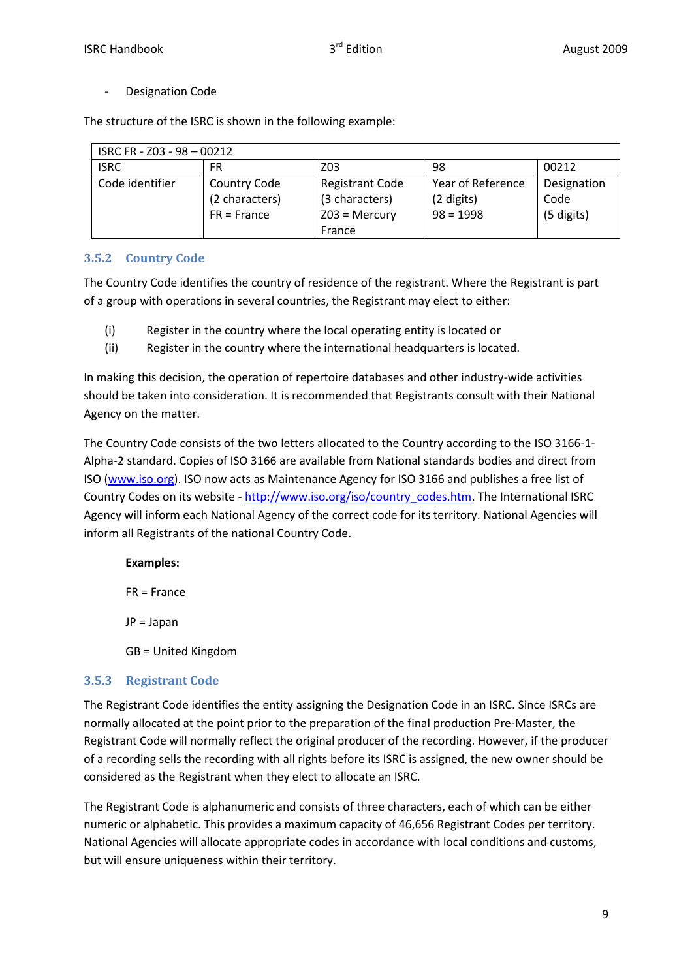- Designation Code

The structure of the ISRC is shown in the following example:

| ISRC FR - Z03 - 98 - 00212 |                     |                        |                   |             |
|----------------------------|---------------------|------------------------|-------------------|-------------|
| <b>ISRC</b>                | FR                  | Z03                    | 98                | 00212       |
| Code identifier            | <b>Country Code</b> | <b>Registrant Code</b> | Year of Reference | Designation |
|                            | (2 characters)      | (3 characters)         | (2 digits)        | Code        |
|                            | $FR =$ France       | $Z03$ = Mercury        | $98 = 1998$       | (5 digits)  |
|                            |                     | France                 |                   |             |

#### **3.5.2 Country Code**

The Country Code identifies the country of residence of the registrant. Where the Registrant is part of a group with operations in several countries, the Registrant may elect to either:

- (i) Register in the country where the local operating entity is located or
- (ii) Register in the country where the international headquarters is located.

In making this decision, the operation of repertoire databases and other industry-wide activities should be taken into consideration. It is recommended that Registrants consult with their National Agency on the matter.

The Country Code consists of the two letters allocated to the Country according to the ISO 3166-1- Alpha-2 standard. Copies of ISO 3166 are available from National standards bodies and direct from ISO (www.iso.org). ISO now acts as Maintenance Agency for ISO 3166 and publishes a free list of Country Codes on its website - http://www.iso.org/iso/country\_codes.htm. The International ISRC Agency will inform each National Agency of the correct code for its territory. National Agencies will inform all Registrants of the national Country Code.

#### **Examples:**

FR = France

JP = Japan

GB = United Kingdom

#### **3.5.3 Registrant Code**

The Registrant Code identifies the entity assigning the Designation Code in an ISRC. Since ISRCs are normally allocated at the point prior to the preparation of the final production Pre-Master, the Registrant Code will normally reflect the original producer of the recording. However, if the producer of a recording sells the recording with all rights before its ISRC is assigned, the new owner should be considered as the Registrant when they elect to allocate an ISRC.

The Registrant Code is alphanumeric and consists of three characters, each of which can be either numeric or alphabetic. This provides a maximum capacity of 46,656 Registrant Codes per territory. National Agencies will allocate appropriate codes in accordance with local conditions and customs, but will ensure uniqueness within their territory.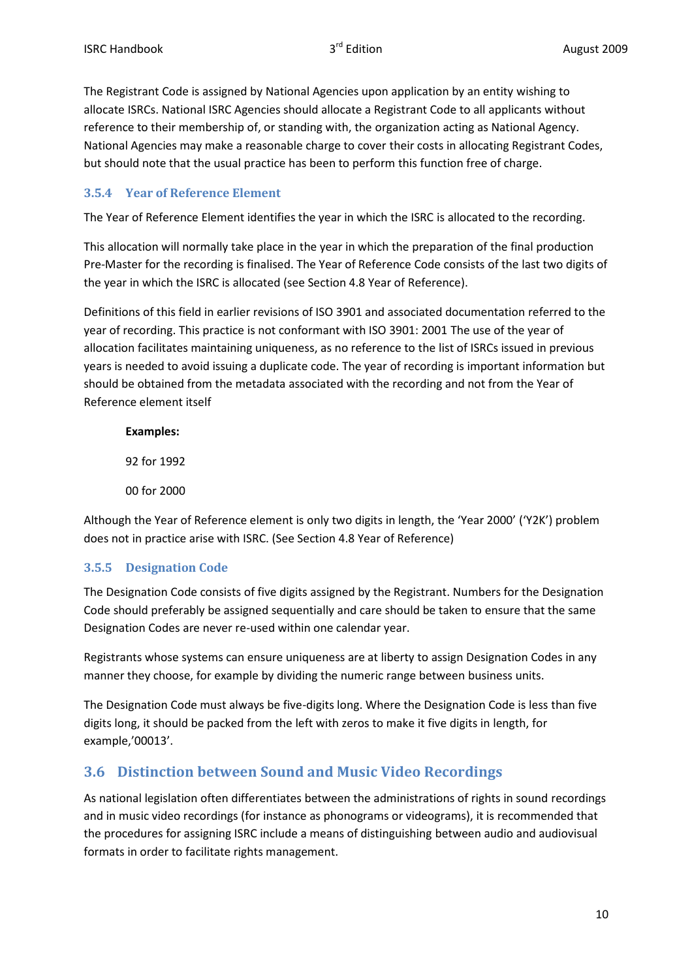The Registrant Code is assigned by National Agencies upon application by an entity wishing to allocate ISRCs. National ISRC Agencies should allocate a Registrant Code to all applicants without reference to their membership of, or standing with, the organization acting as National Agency. National Agencies may make a reasonable charge to cover their costs in allocating Registrant Codes, but should note that the usual practice has been to perform this function free of charge.

#### **3.5.4 Year of Reference Element**

The Year of Reference Element identifies the year in which the ISRC is allocated to the recording.

This allocation will normally take place in the year in which the preparation of the final production Pre-Master for the recording is finalised. The Year of Reference Code consists of the last two digits of the year in which the ISRC is allocated (see Section 4.8 Year of Reference).

Definitions of this field in earlier revisions of ISO 3901 and associated documentation referred to the year of recording. This practice is not conformant with ISO 3901: 2001 The use of the year of allocation facilitates maintaining uniqueness, as no reference to the list of ISRCs issued in previous years is needed to avoid issuing a duplicate code. The year of recording is important information but should be obtained from the metadata associated with the recording and not from the Year of Reference element itself

### **Examples:**

92 for 1992

00 for 2000

Although the Year of Reference element is only two digits in length, the 'Year 2000' ('Y2K') problem does not in practice arise with ISRC. (See Section 4.8 Year of Reference)

# **3.5.5 Designation Code**

The Designation Code consists of five digits assigned by the Registrant. Numbers for the Designation Code should preferably be assigned sequentially and care should be taken to ensure that the same Designation Codes are never re-used within one calendar year.

Registrants whose systems can ensure uniqueness are at liberty to assign Designation Codes in any manner they choose, for example by dividing the numeric range between business units.

The Designation Code must always be five-digits long. Where the Designation Code is less than five digits long, it should be packed from the left with zeros to make it five digits in length, for example,'00013'.

# **3.6 Distinction between Sound and Music Video Recordings**

As national legislation often differentiates between the administrations of rights in sound recordings and in music video recordings (for instance as phonograms or videograms), it is recommended that the procedures for assigning ISRC include a means of distinguishing between audio and audiovisual formats in order to facilitate rights management.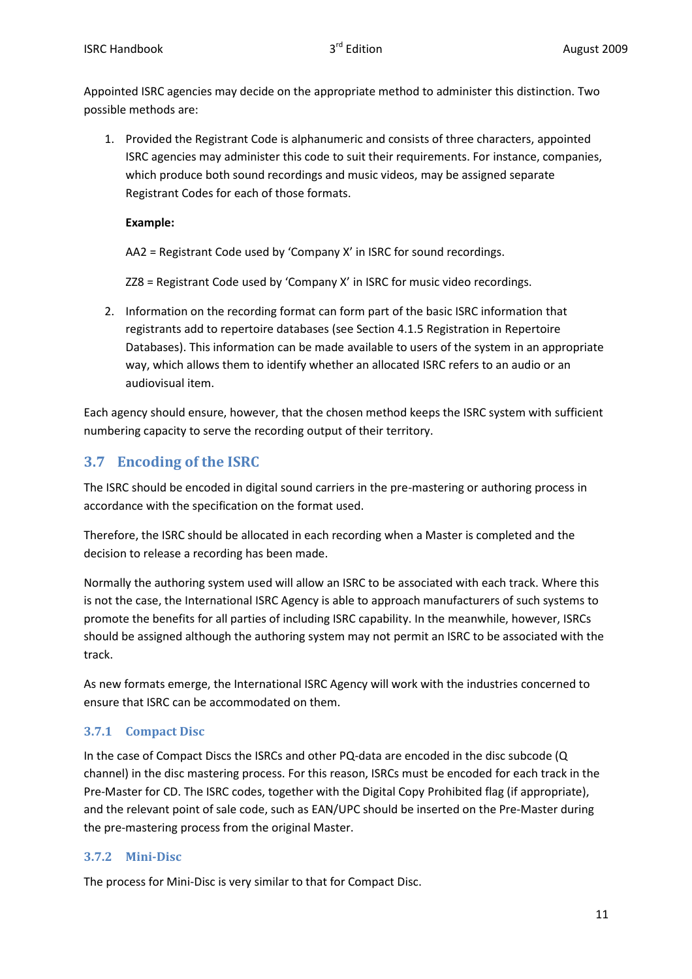Appointed ISRC agencies may decide on the appropriate method to administer this distinction. Two possible methods are:

1. Provided the Registrant Code is alphanumeric and consists of three characters, appointed ISRC agencies may administer this code to suit their requirements. For instance, companies, which produce both sound recordings and music videos, may be assigned separate Registrant Codes for each of those formats.

#### **Example:**

AA2 = Registrant Code used by 'Company X' in ISRC for sound recordings.

ZZ8 = Registrant Code used by 'Company X' in ISRC for music video recordings.

2. Information on the recording format can form part of the basic ISRC information that registrants add to repertoire databases (see Section 4.1.5 Registration in Repertoire Databases). This information can be made available to users of the system in an appropriate way, which allows them to identify whether an allocated ISRC refers to an audio or an audiovisual item.

Each agency should ensure, however, that the chosen method keeps the ISRC system with sufficient numbering capacity to serve the recording output of their territory.

# **3.7 Encoding of the ISRC**

The ISRC should be encoded in digital sound carriers in the pre-mastering or authoring process in accordance with the specification on the format used.

Therefore, the ISRC should be allocated in each recording when a Master is completed and the decision to release a recording has been made.

Normally the authoring system used will allow an ISRC to be associated with each track. Where this is not the case, the International ISRC Agency is able to approach manufacturers of such systems to promote the benefits for all parties of including ISRC capability. In the meanwhile, however, ISRCs should be assigned although the authoring system may not permit an ISRC to be associated with the track.

As new formats emerge, the International ISRC Agency will work with the industries concerned to ensure that ISRC can be accommodated on them.

# **3.7.1 Compact Disc**

In the case of Compact Discs the ISRCs and other PQ-data are encoded in the disc subcode (Q channel) in the disc mastering process. For this reason, ISRCs must be encoded for each track in the Pre-Master for CD. The ISRC codes, together with the Digital Copy Prohibited flag (if appropriate), and the relevant point of sale code, such as EAN/UPC should be inserted on the Pre-Master during the pre-mastering process from the original Master.

#### **3.7.2 Mini-Disc**

The process for Mini-Disc is very similar to that for Compact Disc.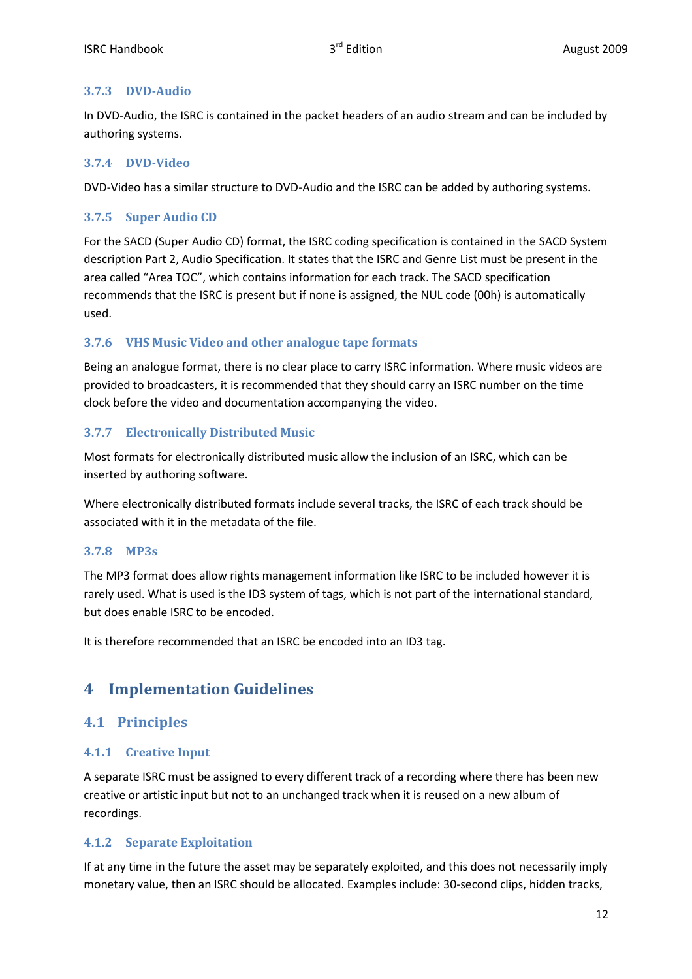#### **3.7.3 DVD-Audio**

In DVD-Audio, the ISRC is contained in the packet headers of an audio stream and can be included by authoring systems.

#### **3.7.4 DVD-Video**

DVD-Video has a similar structure to DVD-Audio and the ISRC can be added by authoring systems.

#### **3.7.5 Super Audio CD**

For the SACD (Super Audio CD) format, the ISRC coding specification is contained in the SACD System description Part 2, Audio Specification. It states that the ISRC and Genre List must be present in the area called "Area TOC", which contains information for each track. The SACD specification recommends that the ISRC is present but if none is assigned, the NUL code (00h) is automatically used.

### **3.7.6 VHS Music Video and other analogue tape formats**

Being an analogue format, there is no clear place to carry ISRC information. Where music videos are provided to broadcasters, it is recommended that they should carry an ISRC number on the time clock before the video and documentation accompanying the video.

### **3.7.7 Electronically Distributed Music**

Most formats for electronically distributed music allow the inclusion of an ISRC, which can be inserted by authoring software.

Where electronically distributed formats include several tracks, the ISRC of each track should be associated with it in the metadata of the file.

#### **3.7.8 MP3s**

The MP3 format does allow rights management information like ISRC to be included however it is rarely used. What is used is the ID3 system of tags, which is not part of the international standard, but does enable ISRC to be encoded.

It is therefore recommended that an ISRC be encoded into an ID3 tag.

# **4 Implementation Guidelines**

# **4.1 Principles**

#### **4.1.1 Creative Input**

A separate ISRC must be assigned to every different track of a recording where there has been new creative or artistic input but not to an unchanged track when it is reused on a new album of recordings.

#### **4.1.2 Separate Exploitation**

If at any time in the future the asset may be separately exploited, and this does not necessarily imply monetary value, then an ISRC should be allocated. Examples include: 30-second clips, hidden tracks,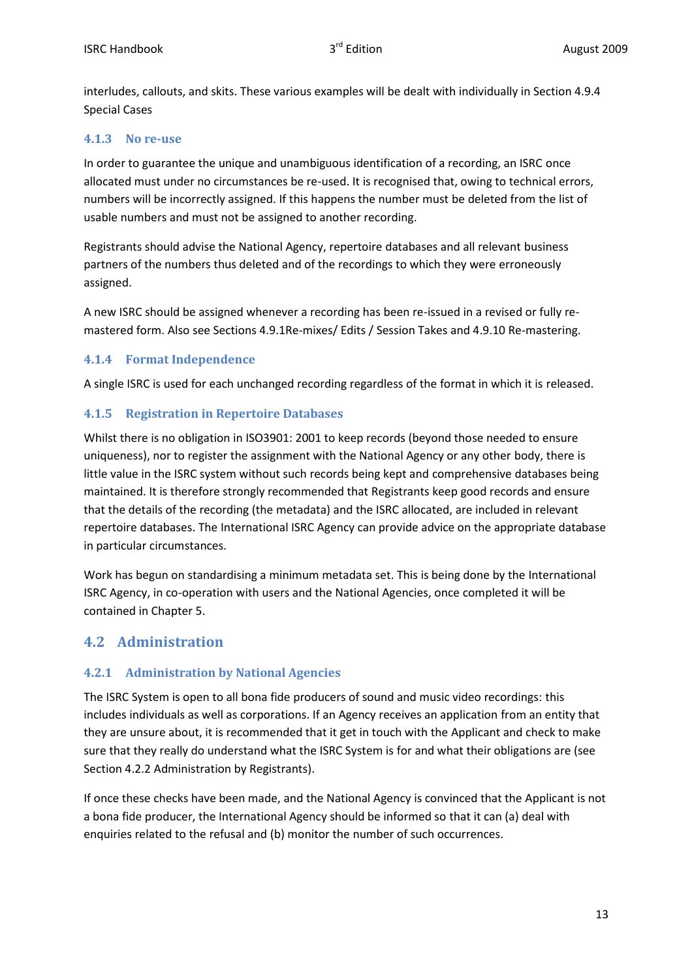interludes, callouts, and skits. These various examples will be dealt with individually in Section 4.9.4 Special Cases

#### **4.1.3 No re-use**

In order to guarantee the unique and unambiguous identification of a recording, an ISRC once allocated must under no circumstances be re-used. It is recognised that, owing to technical errors, numbers will be incorrectly assigned. If this happens the number must be deleted from the list of usable numbers and must not be assigned to another recording.

Registrants should advise the National Agency, repertoire databases and all relevant business partners of the numbers thus deleted and of the recordings to which they were erroneously assigned.

A new ISRC should be assigned whenever a recording has been re-issued in a revised or fully remastered form. Also see Sections 4.9.1Re-mixes/ Edits / Session Takes and 4.9.10 Re-mastering.

#### **4.1.4 Format Independence**

A single ISRC is used for each unchanged recording regardless of the format in which it is released.

### **4.1.5 Registration in Repertoire Databases**

Whilst there is no obligation in ISO3901: 2001 to keep records (beyond those needed to ensure uniqueness), nor to register the assignment with the National Agency or any other body, there is little value in the ISRC system without such records being kept and comprehensive databases being maintained. It is therefore strongly recommended that Registrants keep good records and ensure that the details of the recording (the metadata) and the ISRC allocated, are included in relevant repertoire databases. The International ISRC Agency can provide advice on the appropriate database in particular circumstances.

Work has begun on standardising a minimum metadata set. This is being done by the International ISRC Agency, in co-operation with users and the National Agencies, once completed it will be contained in Chapter 5.

# **4.2 Administration**

# **4.2.1 Administration by National Agencies**

The ISRC System is open to all bona fide producers of sound and music video recordings: this includes individuals as well as corporations. If an Agency receives an application from an entity that they are unsure about, it is recommended that it get in touch with the Applicant and check to make sure that they really do understand what the ISRC System is for and what their obligations are (see Section 4.2.2 Administration by Registrants).

If once these checks have been made, and the National Agency is convinced that the Applicant is not a bona fide producer, the International Agency should be informed so that it can (a) deal with enquiries related to the refusal and (b) monitor the number of such occurrences.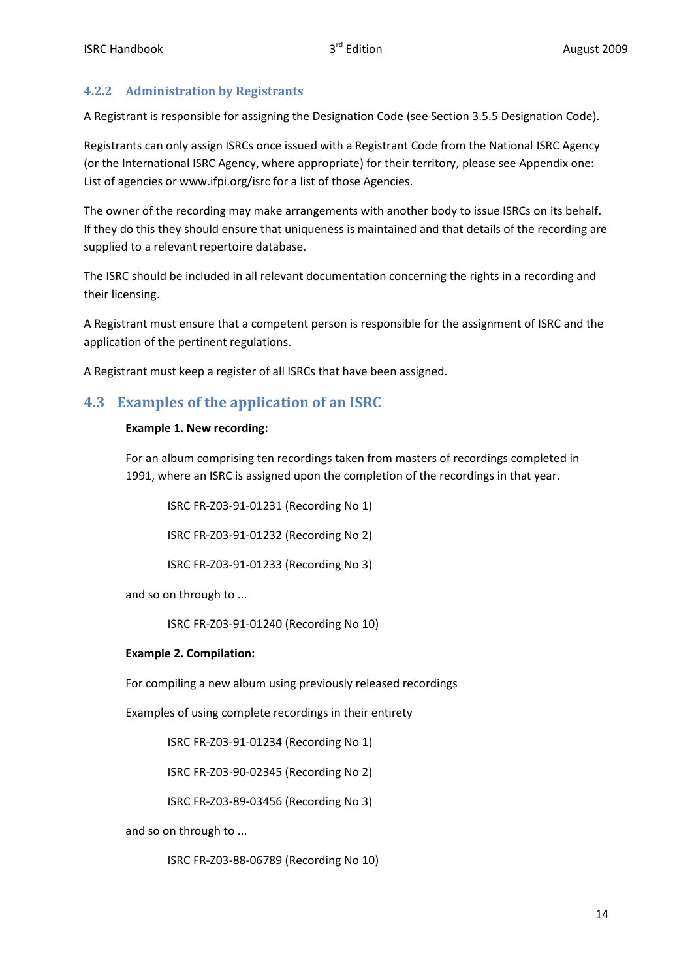#### **4.2.2 Administration by Registrants**

A Registrant is responsible for assigning the Designation Code (see Section 3.5.5 Designation Code).

Registrants can only assign ISRCs once issued with a Registrant Code from the National ISRC Agency (or the International ISRC Agency, where appropriate) for their territory, please see Appendix one: List of agencies or www.ifpi.org/isrc for a list of those Agencies.

The owner of the recording may make arrangements with another body to issue ISRCs on its behalf. If they do this they should ensure that uniqueness is maintained and that details of the recording are supplied to a relevant repertoire database.

The ISRC should be included in all relevant documentation concerning the rights in a recording and their licensing.

A Registrant must ensure that a competent person is responsible for the assignment of ISRC and the application of the pertinent regulations.

A Registrant must keep a register of all ISRCs that have been assigned.

# **4.3 Examples of the application of an ISRC**

#### **Example 1. New recording:**

For an album comprising ten recordings taken from masters of recordings completed in 1991, where an ISRC is assigned upon the completion of the recordings in that year.

ISRC FR-Z03-91-01231 (Recording No 1)

ISRC FR-Z03-91-01232 (Recording No 2)

ISRC FR-Z03-91-01233 (Recording No 3)

and so on through to ...

ISRC FR-Z03-91-01240 (Recording No 10)

#### **Example 2. Compilation:**

For compiling a new album using previously released recordings

Examples of using complete recordings in their entirety

ISRC FR-Z03-91-01234 (Recording No 1)

ISRC FR-Z03-90-02345 (Recording No 2)

ISRC FR-Z03-89-03456 (Recording No 3)

and so on through to ...

ISRC FR-Z03-88-06789 (Recording No 10)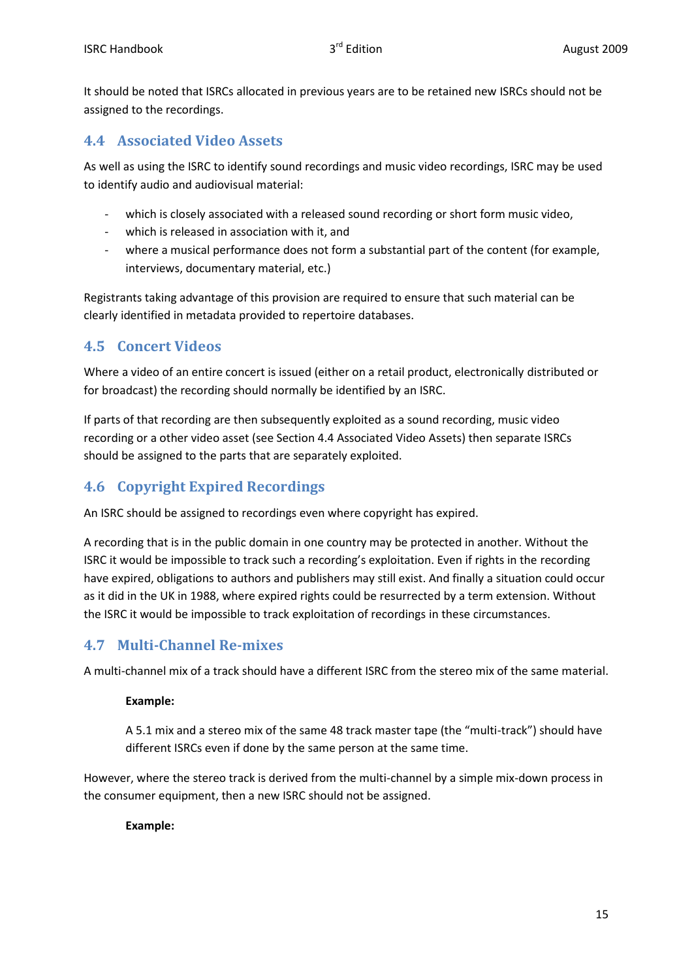It should be noted that ISRCs allocated in previous years are to be retained new ISRCs should not be assigned to the recordings.

#### **4.4 Associated Video Assets**

As well as using the ISRC to identify sound recordings and music video recordings, ISRC may be used to identify audio and audiovisual material:

- which is closely associated with a released sound recording or short form music video,
- which is released in association with it, and
- where a musical performance does not form a substantial part of the content (for example, interviews, documentary material, etc.)

Registrants taking advantage of this provision are required to ensure that such material can be clearly identified in metadata provided to repertoire databases.

# **4.5 Concert Videos**

Where a video of an entire concert is issued (either on a retail product, electronically distributed or for broadcast) the recording should normally be identified by an ISRC.

If parts of that recording are then subsequently exploited as a sound recording, music video recording or a other video asset (see Section 4.4 Associated Video Assets) then separate ISRCs should be assigned to the parts that are separately exploited.

# **4.6 Copyright Expired Recordings**

An ISRC should be assigned to recordings even where copyright has expired.

A recording that is in the public domain in one country may be protected in another. Without the ISRC it would be impossible to track such a recording's exploitation. Even if rights in the recording have expired, obligations to authors and publishers may still exist. And finally a situation could occur as it did in the UK in 1988, where expired rights could be resurrected by a term extension. Without the ISRC it would be impossible to track exploitation of recordings in these circumstances.

# **4.7 Multi-Channel Re-mixes**

A multi-channel mix of a track should have a different ISRC from the stereo mix of the same material.

#### **Example:**

A 5.1 mix and a stereo mix of the same 48 track master tape (the "multi-track") should have different ISRCs even if done by the same person at the same time.

However, where the stereo track is derived from the multi-channel by a simple mix-down process in the consumer equipment, then a new ISRC should not be assigned.

#### **Example:**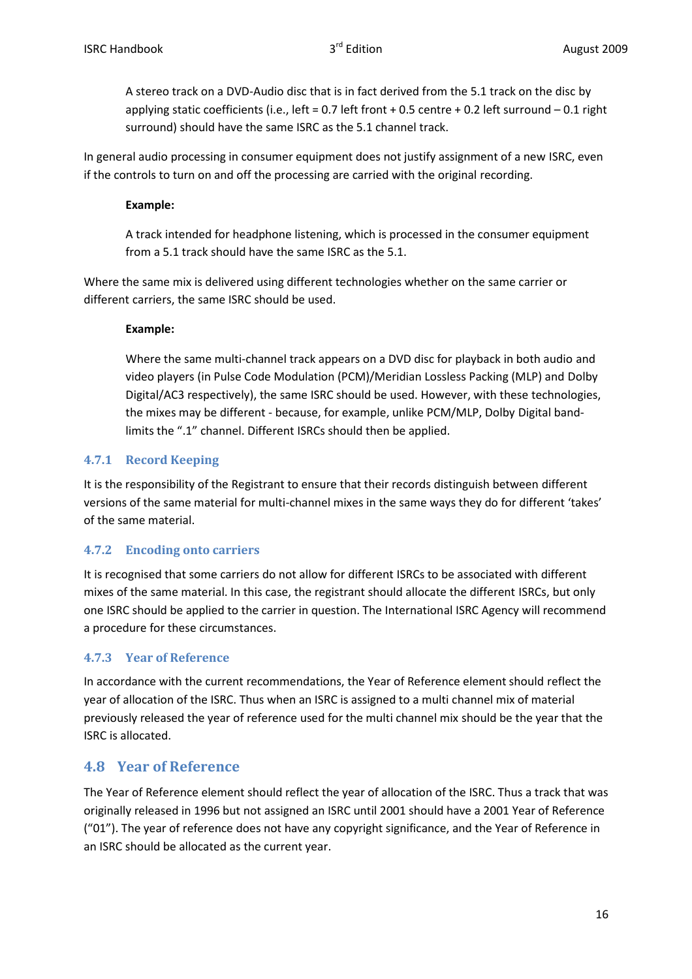A stereo track on a DVD-Audio disc that is in fact derived from the 5.1 track on the disc by applying static coefficients (i.e., left = 0.7 left front + 0.5 centre + 0.2 left surround – 0.1 right surround) should have the same ISRC as the 5.1 channel track.

In general audio processing in consumer equipment does not justify assignment of a new ISRC, even if the controls to turn on and off the processing are carried with the original recording.

#### **Example:**

A track intended for headphone listening, which is processed in the consumer equipment from a 5.1 track should have the same ISRC as the 5.1.

Where the same mix is delivered using different technologies whether on the same carrier or different carriers, the same ISRC should be used.

#### **Example:**

Where the same multi-channel track appears on a DVD disc for playback in both audio and video players (in Pulse Code Modulation (PCM)/Meridian Lossless Packing (MLP) and Dolby Digital/AC3 respectively), the same ISRC should be used. However, with these technologies, the mixes may be different - because, for example, unlike PCM/MLP, Dolby Digital bandlimits the ".1" channel. Different ISRCs should then be applied.

### **4.7.1 Record Keeping**

It is the responsibility of the Registrant to ensure that their records distinguish between different versions of the same material for multi-channel mixes in the same ways they do for different 'takes' of the same material.

#### **4.7.2 Encoding onto carriers**

It is recognised that some carriers do not allow for different ISRCs to be associated with different mixes of the same material. In this case, the registrant should allocate the different ISRCs, but only one ISRC should be applied to the carrier in question. The International ISRC Agency will recommend a procedure for these circumstances.

#### **4.7.3 Year of Reference**

In accordance with the current recommendations, the Year of Reference element should reflect the year of allocation of the ISRC. Thus when an ISRC is assigned to a multi channel mix of material previously released the year of reference used for the multi channel mix should be the year that the ISRC is allocated.

# **4.8 Year of Reference**

The Year of Reference element should reflect the year of allocation of the ISRC. Thus a track that was originally released in 1996 but not assigned an ISRC until 2001 should have a 2001 Year of Reference ("01"). The year of reference does not have any copyright significance, and the Year of Reference in an ISRC should be allocated as the current year.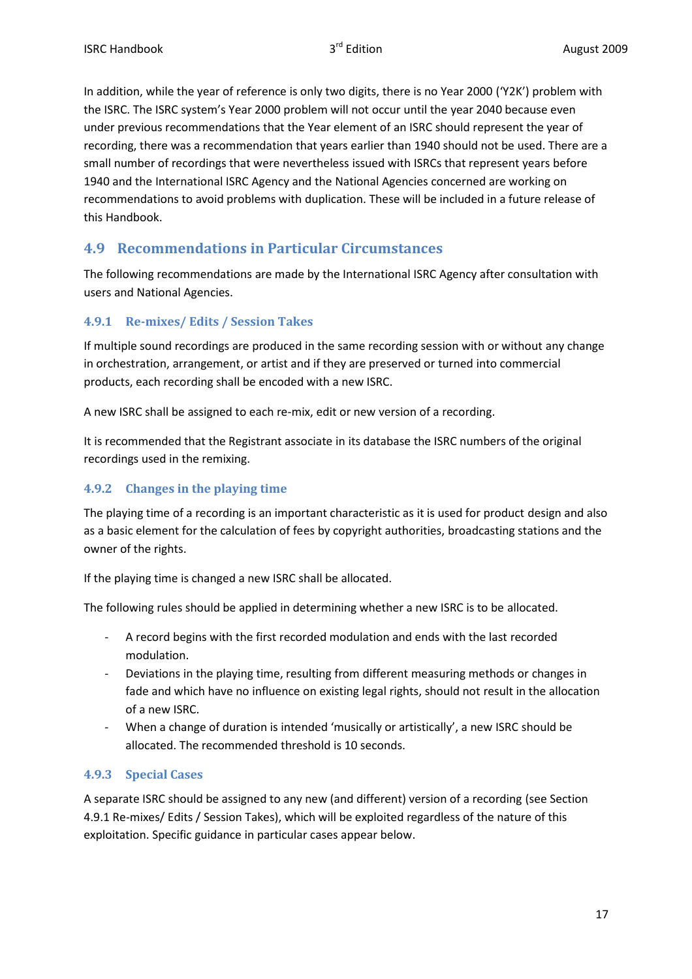In addition, while the year of reference is only two digits, there is no Year 2000 ('Y2K') problem with the ISRC. The ISRC system's Year 2000 problem will not occur until the year 2040 because even under previous recommendations that the Year element of an ISRC should represent the year of recording, there was a recommendation that years earlier than 1940 should not be used. There are a small number of recordings that were nevertheless issued with ISRCs that represent years before 1940 and the International ISRC Agency and the National Agencies concerned are working on recommendations to avoid problems with duplication. These will be included in a future release of this Handbook.

# **4.9 Recommendations in Particular Circumstances**

The following recommendations are made by the International ISRC Agency after consultation with users and National Agencies.

#### **4.9.1 Re-mixes/ Edits / Session Takes**

If multiple sound recordings are produced in the same recording session with or without any change in orchestration, arrangement, or artist and if they are preserved or turned into commercial products, each recording shall be encoded with a new ISRC.

A new ISRC shall be assigned to each re-mix, edit or new version of a recording.

It is recommended that the Registrant associate in its database the ISRC numbers of the original recordings used in the remixing.

#### **4.9.2 Changes in the playing time**

The playing time of a recording is an important characteristic as it is used for product design and also as a basic element for the calculation of fees by copyright authorities, broadcasting stations and the owner of the rights.

If the playing time is changed a new ISRC shall be allocated.

The following rules should be applied in determining whether a new ISRC is to be allocated.

- A record begins with the first recorded modulation and ends with the last recorded modulation.
- Deviations in the playing time, resulting from different measuring methods or changes in fade and which have no influence on existing legal rights, should not result in the allocation of a new ISRC.
- When a change of duration is intended 'musically or artistically', a new ISRC should be allocated. The recommended threshold is 10 seconds.

#### **4.9.3 Special Cases**

A separate ISRC should be assigned to any new (and different) version of a recording (see Section 4.9.1 Re-mixes/ Edits / Session Takes), which will be exploited regardless of the nature of this exploitation. Specific guidance in particular cases appear below.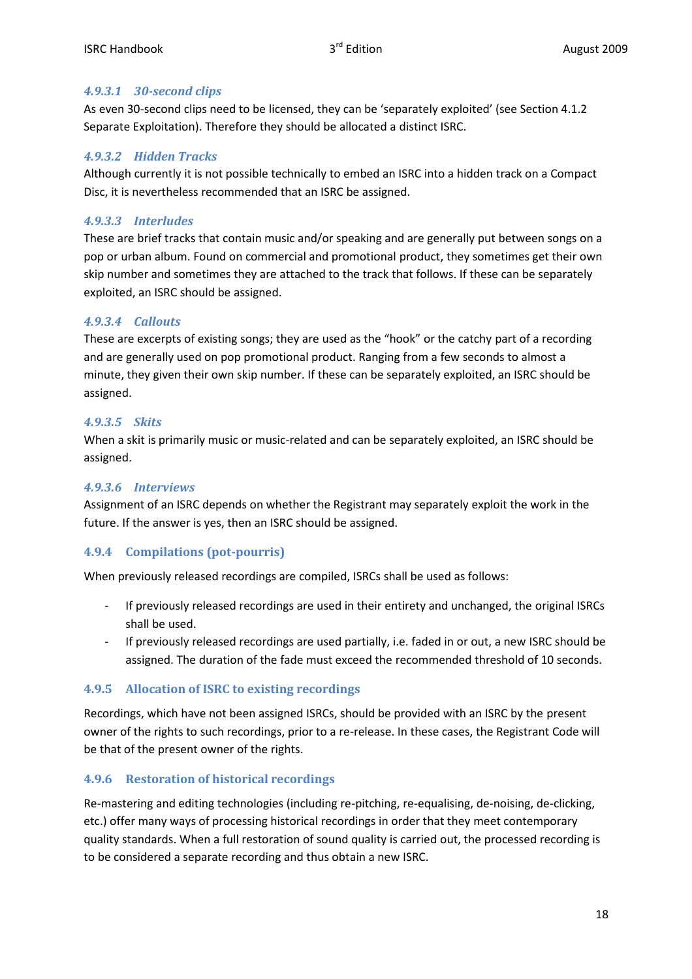#### *4.9.3.1 30-second clips*

As even 30-second clips need to be licensed, they can be 'separately exploited' (see Section 4.1.2 Separate Exploitation). Therefore they should be allocated a distinct ISRC.

#### *4.9.3.2 Hidden Tracks*

Although currently it is not possible technically to embed an ISRC into a hidden track on a Compact Disc, it is nevertheless recommended that an ISRC be assigned.

#### *4.9.3.3 Interludes*

These are brief tracks that contain music and/or speaking and are generally put between songs on a pop or urban album. Found on commercial and promotional product, they sometimes get their own skip number and sometimes they are attached to the track that follows. If these can be separately exploited, an ISRC should be assigned.

#### *4.9.3.4 Callouts*

These are excerpts of existing songs; they are used as the "hook" or the catchy part of a recording and are generally used on pop promotional product. Ranging from a few seconds to almost a minute, they given their own skip number. If these can be separately exploited, an ISRC should be assigned.

#### *4.9.3.5 Skits*

When a skit is primarily music or music-related and can be separately exploited, an ISRC should be assigned.

#### *4.9.3.6 Interviews*

Assignment of an ISRC depends on whether the Registrant may separately exploit the work in the future. If the answer is yes, then an ISRC should be assigned.

#### **4.9.4 Compilations (pot-pourris)**

When previously released recordings are compiled, ISRCs shall be used as follows:

- If previously released recordings are used in their entirety and unchanged, the original ISRCs shall be used.
- If previously released recordings are used partially, i.e. faded in or out, a new ISRC should be assigned. The duration of the fade must exceed the recommended threshold of 10 seconds.

#### **4.9.5 Allocation of ISRC to existing recordings**

Recordings, which have not been assigned ISRCs, should be provided with an ISRC by the present owner of the rights to such recordings, prior to a re-release. In these cases, the Registrant Code will be that of the present owner of the rights.

#### **4.9.6 Restoration of historical recordings**

Re-mastering and editing technologies (including re-pitching, re-equalising, de-noising, de-clicking, etc.) offer many ways of processing historical recordings in order that they meet contemporary quality standards. When a full restoration of sound quality is carried out, the processed recording is to be considered a separate recording and thus obtain a new ISRC.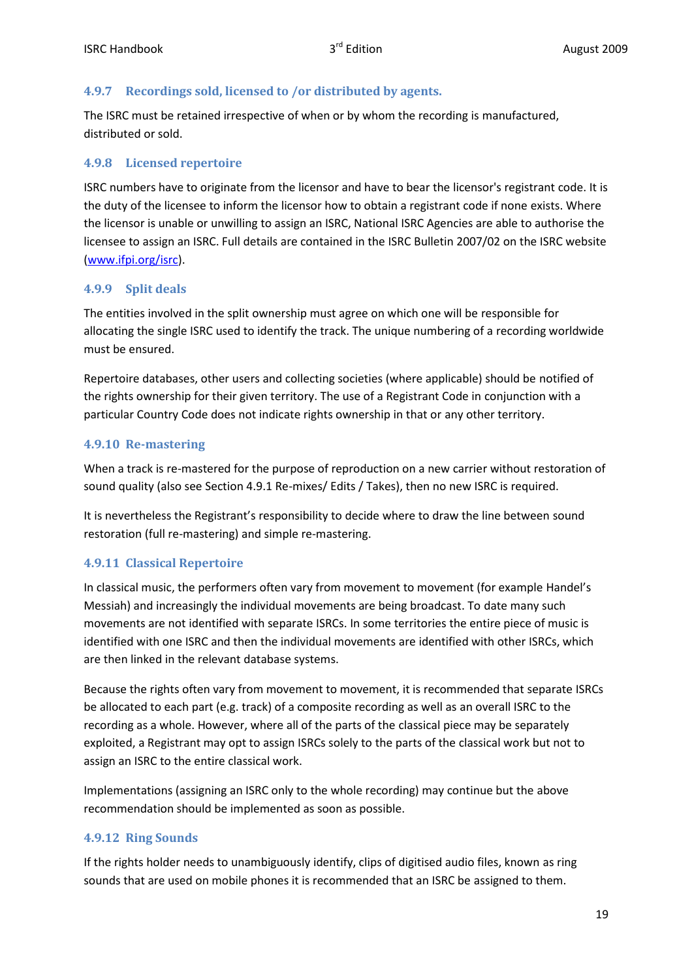#### **4.9.7 Recordings sold, licensed to /or distributed by agents.**

The ISRC must be retained irrespective of when or by whom the recording is manufactured, distributed or sold.

#### **4.9.8 Licensed repertoire**

ISRC numbers have to originate from the licensor and have to bear the licensor's registrant code. It is the duty of the licensee to inform the licensor how to obtain a registrant code if none exists. Where the licensor is unable or unwilling to assign an ISRC, National ISRC Agencies are able to authorise the licensee to assign an ISRC. Full details are contained in the ISRC Bulletin 2007/02 on the ISRC website (www.ifpi.org/isrc).

#### **4.9.9 Split deals**

The entities involved in the split ownership must agree on which one will be responsible for allocating the single ISRC used to identify the track. The unique numbering of a recording worldwide must be ensured.

Repertoire databases, other users and collecting societies (where applicable) should be notified of the rights ownership for their given territory. The use of a Registrant Code in conjunction with a particular Country Code does not indicate rights ownership in that or any other territory.

#### **4.9.10 Re-mastering**

When a track is re-mastered for the purpose of reproduction on a new carrier without restoration of sound quality (also see Section 4.9.1 Re-mixes/ Edits / Takes), then no new ISRC is required.

It is nevertheless the Registrant's responsibility to decide where to draw the line between sound restoration (full re-mastering) and simple re-mastering.

#### **4.9.11 Classical Repertoire**

In classical music, the performers often vary from movement to movement (for example Handel's Messiah) and increasingly the individual movements are being broadcast. To date many such movements are not identified with separate ISRCs. In some territories the entire piece of music is identified with one ISRC and then the individual movements are identified with other ISRCs, which are then linked in the relevant database systems.

Because the rights often vary from movement to movement, it is recommended that separate ISRCs be allocated to each part (e.g. track) of a composite recording as well as an overall ISRC to the recording as a whole. However, where all of the parts of the classical piece may be separately exploited, a Registrant may opt to assign ISRCs solely to the parts of the classical work but not to assign an ISRC to the entire classical work.

Implementations (assigning an ISRC only to the whole recording) may continue but the above recommendation should be implemented as soon as possible.

#### **4.9.12 Ring Sounds**

If the rights holder needs to unambiguously identify, clips of digitised audio files, known as ring sounds that are used on mobile phones it is recommended that an ISRC be assigned to them.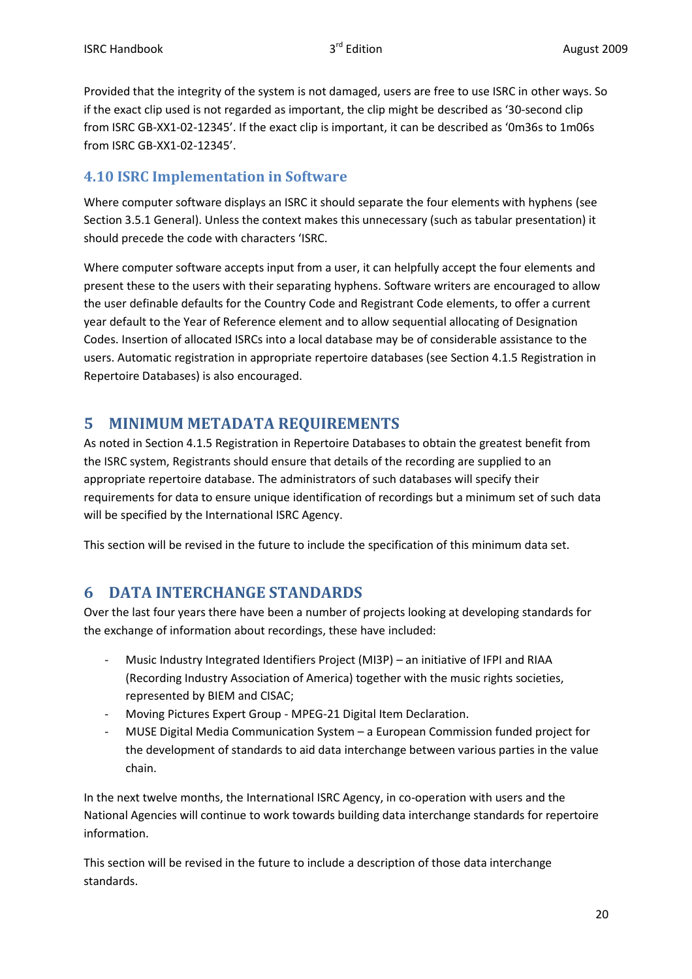Provided that the integrity of the system is not damaged, users are free to use ISRC in other ways. So if the exact clip used is not regarded as important, the clip might be described as '30-second clip from ISRC GB-XX1-02-12345'. If the exact clip is important, it can be described as '0m36s to 1m06s from ISRC GB-XX1-02-12345'.

# **4.10 ISRC Implementation in Software**

Where computer software displays an ISRC it should separate the four elements with hyphens (see Section 3.5.1 General). Unless the context makes this unnecessary (such as tabular presentation) it should precede the code with characters 'ISRC.

Where computer software accepts input from a user, it can helpfully accept the four elements and present these to the users with their separating hyphens. Software writers are encouraged to allow the user definable defaults for the Country Code and Registrant Code elements, to offer a current year default to the Year of Reference element and to allow sequential allocating of Designation Codes. Insertion of allocated ISRCs into a local database may be of considerable assistance to the users. Automatic registration in appropriate repertoire databases (see Section 4.1.5 Registration in Repertoire Databases) is also encouraged.

# **5 MINIMUM METADATA REQUIREMENTS**

As noted in Section 4.1.5 Registration in Repertoire Databases to obtain the greatest benefit from the ISRC system, Registrants should ensure that details of the recording are supplied to an appropriate repertoire database. The administrators of such databases will specify their requirements for data to ensure unique identification of recordings but a minimum set of such data will be specified by the International ISRC Agency.

This section will be revised in the future to include the specification of this minimum data set.

# **6 DATA INTERCHANGE STANDARDS**

Over the last four years there have been a number of projects looking at developing standards for the exchange of information about recordings, these have included:

- Music Industry Integrated Identifiers Project (MI3P) an initiative of IFPI and RIAA (Recording Industry Association of America) together with the music rights societies, represented by BIEM and CISAC;
- Moving Pictures Expert Group MPEG-21 Digital Item Declaration.
- MUSE Digital Media Communication System a European Commission funded project for the development of standards to aid data interchange between various parties in the value chain.

In the next twelve months, the International ISRC Agency, in co-operation with users and the National Agencies will continue to work towards building data interchange standards for repertoire information.

This section will be revised in the future to include a description of those data interchange standards.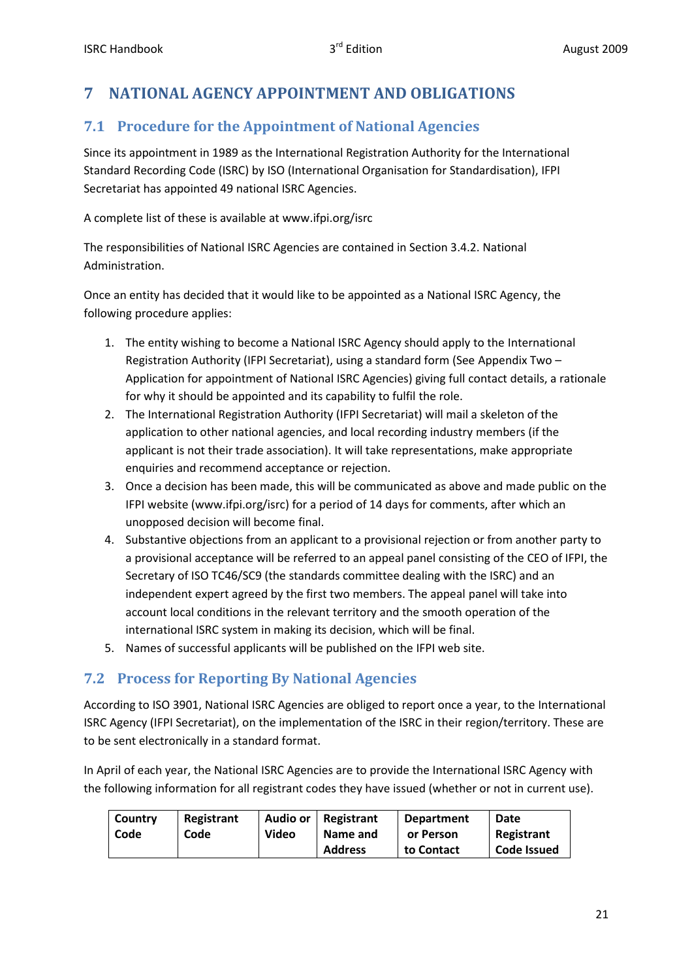# **7 NATIONAL AGENCY APPOINTMENT AND OBLIGATIONS**

# **7.1 Procedure for the Appointment of National Agencies**

Since its appointment in 1989 as the International Registration Authority for the International Standard Recording Code (ISRC) by ISO (International Organisation for Standardisation), IFPI Secretariat has appointed 49 national ISRC Agencies.

A complete list of these is available at www.ifpi.org/isrc

The responsibilities of National ISRC Agencies are contained in Section 3.4.2. National Administration.

Once an entity has decided that it would like to be appointed as a National ISRC Agency, the following procedure applies:

- 1. The entity wishing to become a National ISRC Agency should apply to the International Registration Authority (IFPI Secretariat), using a standard form (See Appendix Two – Application for appointment of National ISRC Agencies) giving full contact details, a rationale for why it should be appointed and its capability to fulfil the role.
- 2. The International Registration Authority (IFPI Secretariat) will mail a skeleton of the application to other national agencies, and local recording industry members (if the applicant is not their trade association). It will take representations, make appropriate enquiries and recommend acceptance or rejection.
- 3. Once a decision has been made, this will be communicated as above and made public on the IFPI website (www.ifpi.org/isrc) for a period of 14 days for comments, after which an unopposed decision will become final.
- 4. Substantive objections from an applicant to a provisional rejection or from another party to a provisional acceptance will be referred to an appeal panel consisting of the CEO of IFPI, the Secretary of ISO TC46/SC9 (the standards committee dealing with the ISRC) and an independent expert agreed by the first two members. The appeal panel will take into account local conditions in the relevant territory and the smooth operation of the international ISRC system in making its decision, which will be final.
- 5. Names of successful applicants will be published on the IFPI web site.

# **7.2 Process for Reporting By National Agencies**

According to ISO 3901, National ISRC Agencies are obliged to report once a year, to the International ISRC Agency (IFPI Secretariat), on the implementation of the ISRC in their region/territory. These are to be sent electronically in a standard format.

In April of each year, the National ISRC Agencies are to provide the International ISRC Agency with the following information for all registrant codes they have issued (whether or not in current use).

| Country | Registrant | Audio or     | Registrant     | <b>Department</b> | Date        |
|---------|------------|--------------|----------------|-------------------|-------------|
| Code    | Code       | <b>Video</b> | Name and       | or Person         | Registrant  |
|         |            |              | <b>Address</b> | to Contact        | Code Issued |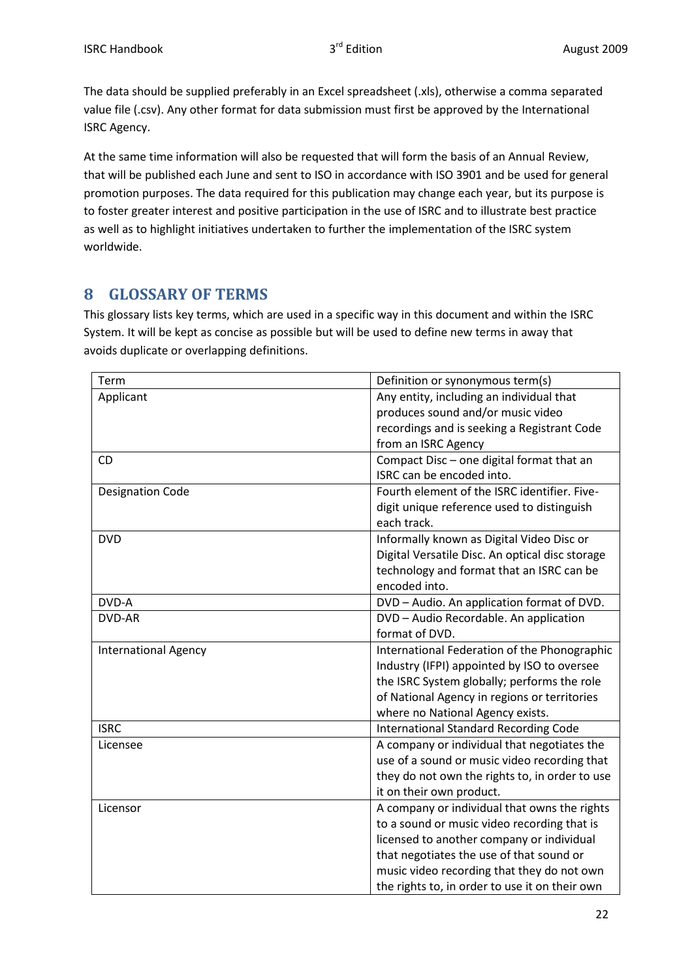The data should be supplied preferably in an Excel spreadsheet (.xls), otherwise a comma separated value file (.csv). Any other format for data submission must first be approved by the International ISRC Agency.

At the same time information will also be requested that will form the basis of an Annual Review, that will be published each June and sent to ISO in accordance with ISO 3901 and be used for general promotion purposes. The data required for this publication may change each year, but its purpose is to foster greater interest and positive participation in the use of ISRC and to illustrate best practice as well as to highlight initiatives undertaken to further the implementation of the ISRC system worldwide.

# **8 GLOSSARY OF TERMS**

This glossary lists key terms, which are used in a specific way in this document and within the ISRC System. It will be kept as concise as possible but will be used to define new terms in away that avoids duplicate or overlapping definitions.

| Term                        | Definition or synonymous term(s)                |
|-----------------------------|-------------------------------------------------|
| Applicant                   | Any entity, including an individual that        |
|                             | produces sound and/or music video               |
|                             | recordings and is seeking a Registrant Code     |
|                             | from an ISRC Agency                             |
| <b>CD</b>                   | Compact Disc - one digital format that an       |
|                             | ISRC can be encoded into.                       |
| <b>Designation Code</b>     | Fourth element of the ISRC identifier. Five-    |
|                             | digit unique reference used to distinguish      |
|                             | each track.                                     |
| <b>DVD</b>                  | Informally known as Digital Video Disc or       |
|                             | Digital Versatile Disc. An optical disc storage |
|                             | technology and format that an ISRC can be       |
|                             | encoded into.                                   |
| DVD-A                       | DVD - Audio. An application format of DVD.      |
| <b>DVD-AR</b>               | DVD - Audio Recordable. An application          |
|                             | format of DVD.                                  |
| <b>International Agency</b> | International Federation of the Phonographic    |
|                             | Industry (IFPI) appointed by ISO to oversee     |
|                             | the ISRC System globally; performs the role     |
|                             | of National Agency in regions or territories    |
|                             | where no National Agency exists.                |
| <b>ISRC</b>                 | <b>International Standard Recording Code</b>    |
| Licensee                    | A company or individual that negotiates the     |
|                             | use of a sound or music video recording that    |
|                             | they do not own the rights to, in order to use  |
|                             | it on their own product.                        |
| Licensor                    | A company or individual that owns the rights    |
|                             | to a sound or music video recording that is     |
|                             | licensed to another company or individual       |
|                             | that negotiates the use of that sound or        |
|                             | music video recording that they do not own      |
|                             | the rights to, in order to use it on their own  |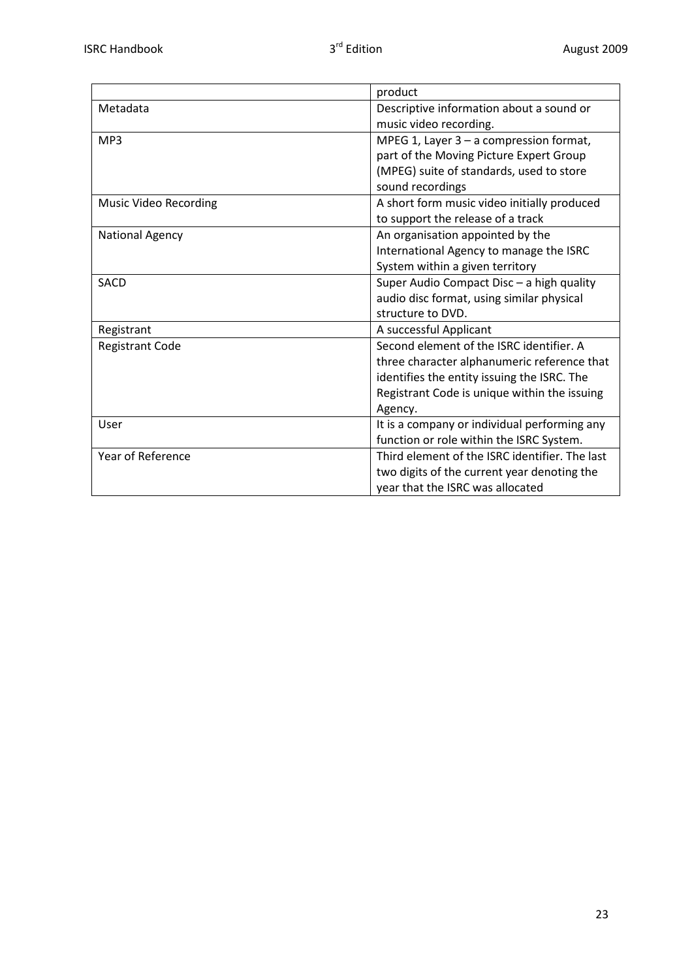|                        | product                                        |
|------------------------|------------------------------------------------|
| Metadata               | Descriptive information about a sound or       |
|                        | music video recording.                         |
| MP3                    | MPEG 1, Layer $3 - a$ compression format,      |
|                        | part of the Moving Picture Expert Group        |
|                        | (MPEG) suite of standards, used to store       |
|                        | sound recordings                               |
| Music Video Recording  | A short form music video initially produced    |
|                        | to support the release of a track              |
| <b>National Agency</b> | An organisation appointed by the               |
|                        | International Agency to manage the ISRC        |
|                        | System within a given territory                |
| <b>SACD</b>            | Super Audio Compact Disc - a high quality      |
|                        | audio disc format, using similar physical      |
|                        | structure to DVD.                              |
| Registrant             | A successful Applicant                         |
| <b>Registrant Code</b> | Second element of the ISRC identifier. A       |
|                        | three character alphanumeric reference that    |
|                        | identifies the entity issuing the ISRC. The    |
|                        | Registrant Code is unique within the issuing   |
|                        | Agency.                                        |
| User                   | It is a company or individual performing any   |
|                        | function or role within the ISRC System.       |
| Year of Reference      | Third element of the ISRC identifier. The last |
|                        | two digits of the current year denoting the    |
|                        | year that the ISRC was allocated               |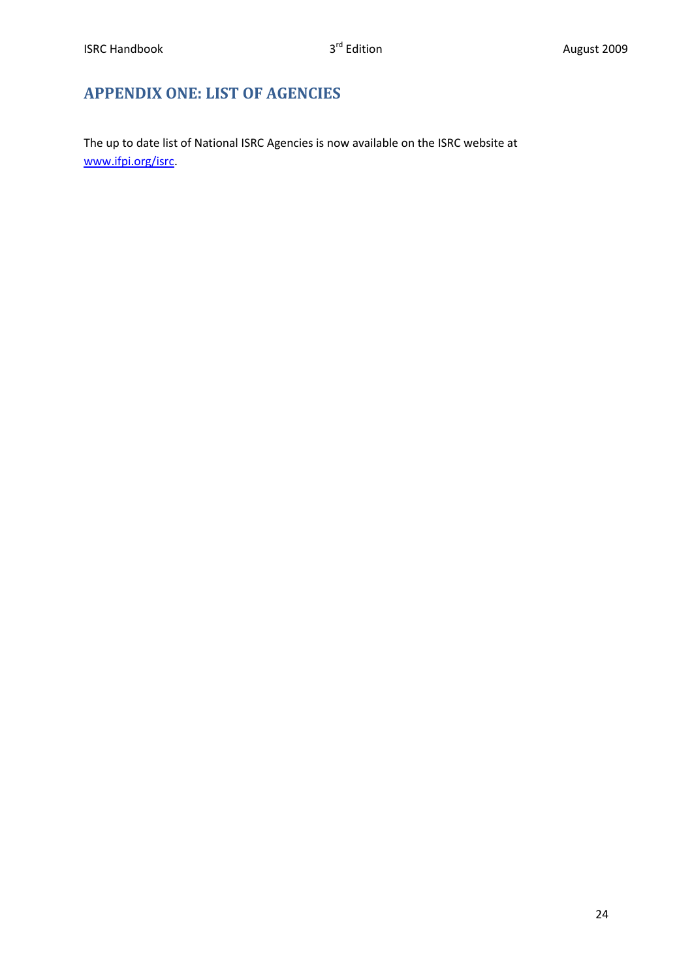# **APPENDIX ONE: LIST OF AGENCIES**

The up to date list of National ISRC Agencies is now available on the ISRC website at www.ifpi.org/isrc.